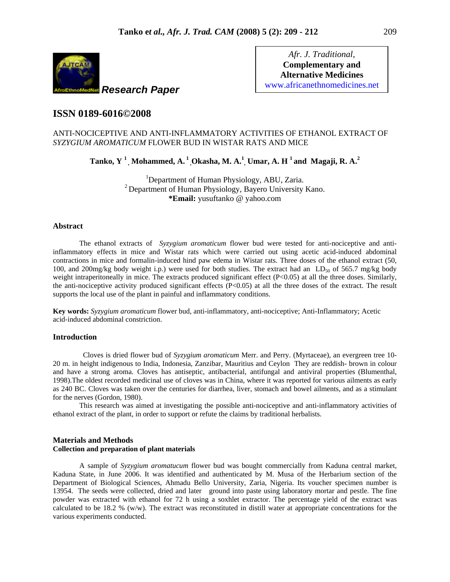

*Afr. J. Traditional*, **Complementary and Alternative Medicines**  www.africanethnomedicines.net

# **ISSN 0189-6016©2008**

# ANTI-NOCICEPTIVE AND ANTI-INFLAMMATORY ACTIVITIES OF ETHANOL EXTRACT OF *SYZYGIUM AROMATICUM* FLOWER BUD IN WISTAR RATS AND MICE

**Tanko, Y <sup>1</sup> , Mohammed, A. 1 ,Okasha, M. A.1 , Umar, A. H <sup>1</sup> and Magaji, R. A.<sup>2</sup>**

<sup>1</sup>Department of Human Physiology, ABU, Zaria.  $2^2$  Department of Human Physiology, Bayero University Kano. **\*Email:** yusuftanko @ yahoo.com

# **Abstract**

The ethanol extracts of *Syzygium aromaticum* flower bud were tested for anti-nociceptive and antiinflammatory effects in mice and Wistar rats which were carried out using acetic acid-induced abdominal contractions in mice and formalin-induced hind paw edema in Wistar rats. Three doses of the ethanol extract (50, 100, and 200mg/kg body weight i.p.) were used for both studies. The extract had an  $LD_{50}$  of 565.7 mg/kg body weight intraperitoneally in mice. The extracts produced significant effect  $(P<0.05)$  at all the three doses. Similarly, the anti-nociceptive activity produced significant effects (P<0.05) at all the three doses of the extract. The result supports the local use of the plant in painful and inflammatory conditions.

**Key words:** *Syzygium aromaticum* flower bud, anti-inflammatory, anti-nociceptive; Anti-Inflammatory; Acetic acid-induced abdominal constriction.

#### **Introduction**

 Cloves is dried flower bud of *Syzygium aromaticum* Merr. and Perry. (Myrtaceae), an evergreen tree 10- 20 m. in height indigenous to India, Indonesia, Zanzibar, Mauritius and Ceylon They are reddish- brown in colour and have a strong aroma. Cloves has antiseptic, antibacterial, antifungal and antiviral properties (Blumenthal, 1998).The oldest recorded medicinal use of cloves was in China, where it was reported for various ailments as early as 240 BC. Cloves was taken over the centuries for diarrhea, liver, stomach and bowel ailments, and as a stimulant for the nerves (Gordon, 1980).

This research was aimed at investigating the possible anti-nociceptive and anti-inflammatory activities of ethanol extract of the plant, in order to support or refute the claims by traditional herbalists.

## **Materials and Methods Collection and preparation of plant materials**

A sample of *Syzygium aromatucum* flower bud was bought commercially from Kaduna central market, Kaduna State, in June 2006. It was identified and authenticated by M. Musa of the Herbarium section of the Department of Biological Sciences, Ahmadu Bello University, Zaria, Nigeria. Its voucher specimen number is 13954. The seeds were collected, dried and later ground into paste using laboratory mortar and pestle. The fine powder was extracted with ethanol for 72 h using a soxhlet extractor. The percentage yield of the extract was calculated to be 18.2 % (w/w). The extract was reconstituted in distill water at appropriate concentrations for the various experiments conducted.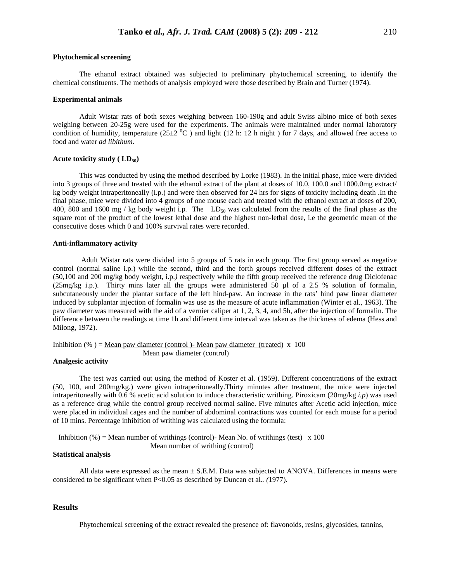The ethanol extract obtained was subjected to preliminary phytochemical screening, to identify the chemical constituents. The methods of analysis employed were those described by Brain and Turner (1974).

#### **Experimental animals**

Adult Wistar rats of both sexes weighing between 160-190g and adult Swiss albino mice of both sexes weighing between 20-25g were used for the experiments. The animals were maintained under normal laboratory condition of humidity, temperature  $(25\pm2~^0C)$  and light (12 h: 12 h night) for 7 days, and allowed free access to food and water *ad libithum*.

#### Acute toxicity study (LD<sub>50</sub>)

 This was conducted by using the method described by Lorke (1983). In the initial phase, mice were divided into 3 groups of three and treated with the ethanol extract of the plant at doses of 10.0, 100.0 and 1000.0mg extract/ kg body weight intraperitoneally (i.p.) and were then observed for 24 hrs for signs of toxicity including death .In the final phase, mice were divided into 4 groups of one mouse each and treated with the ethanol extract at doses of 200, 400, 800 and 1600 mg / kg body weight i.p. The LD<sub>50</sub> was calculated from the results of the final phase as the square root of the product of the lowest lethal dose and the highest non-lethal dose, i.e the geometric mean of the consecutive doses which 0 and 100% survival rates were recorded.

## **Anti-inflammatory activity**

 Adult Wistar rats were divided into 5 groups of 5 rats in each group. The first group served as negative control (normal saline i.p.) while the second, third and the forth groups received different doses of the extract (50,100 and 200 mg/kg body weight, i.p.*)* respectively while the fifth group received the reference drug Diclofenac (25mg/kg i.p.). Thirty mins later all the groups were administered 50 µl of a 2.5 % solution of formalin, subcutaneously under the plantar surface of the left hind-paw. An increase in the rats' hind paw linear diameter induced by subplantar injection of formalin was use as the measure of acute inflammation (Winter et al., 1963). The paw diameter was measured with the aid of a vernier caliper at 1, 2, 3, 4, and 5h, after the injection of formalin. The difference between the readings at time 1h and different time interval was taken as the thickness of edema (Hess and Milong, 1972).

Inhibition (%) = Mean paw diameter (control )- Mean paw diameter (treated)  $x$  100 Mean paw diameter (control)

#### **Analgesic activity**

The test was carried out using the method of Koster et al. (1959). Different concentrations of the extract (50, 100, and 200mg/kg.) were given intraperitoneally.Thirty minutes after treatment, the mice were injected intraperitoneally with 0.6 % acetic acid solution to induce characteristic writhing. Piroxicam (20mg/kg *i.p*) was used as a reference drug while the control group received normal saline. Five minutes after Acetic acid injection, mice were placed in individual cages and the number of abdominal contractions was counted for each mouse for a period of 10 mins. Percentage inhibition of writhing was calculated using the formula:

Inhibition (%) = <u>Mean number of writhings (control</u>)- Mean No. of writhings (test) x 100 Mean number of writhing (control)

# **Statistical analysis**

All data were expressed as the mean  $\pm$  S.E.M. Data was subjected to ANOVA. Differences in means were considered to be significant when P<0.05 as described by Duncan et al*.. (*1977).

## **Results**

Phytochemical screening of the extract revealed the presence of: flavonoids, resins, glycosides, tannins,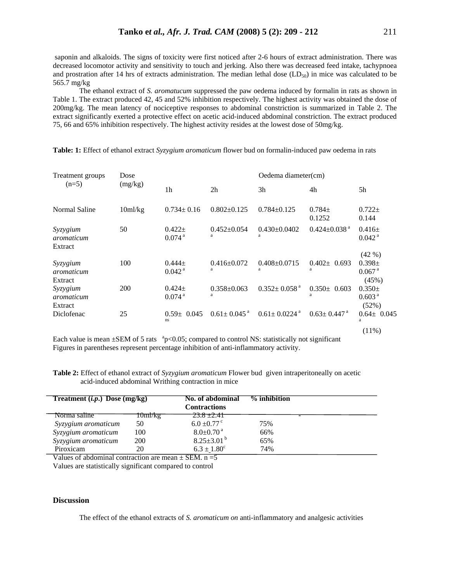saponin and alkaloids. The signs of toxicity were first noticed after 2-6 hours of extract administration. There was decreased locomotor activity and sensitivity to touch and jerking. Also there was decreased feed intake, tachypnoea and prostration after 14 hrs of extracts administration. The median lethal dose  $(LD<sub>50</sub>)$  in mice was calculated to be 565.7 mg/kg

The ethanol extract of *S. aromatucum* suppressed the paw oedema induced by formalin in rats as shown in Table 1. The extract produced 42, 45 and 52% inhibition respectively. The highest activity was obtained the dose of 200mg/kg. The mean latency of nociceptive responses to abdominal constriction is summarized in Table 2. The extract significantly exerted a protective effect on acetic acid-induced abdominal constriction. The extract produced 75, 66 and 65% inhibition respectively. The highest activity resides at the lowest dose of 50mg/kg.

| Treatment groups<br>$(n=5)$       | Dose<br>(mg/kg) |                                     |                               | Oedema diameter(cm)            |                                |                                                           |
|-----------------------------------|-----------------|-------------------------------------|-------------------------------|--------------------------------|--------------------------------|-----------------------------------------------------------|
|                                   |                 | 1 <sub>h</sub>                      | 2 <sub>h</sub>                | 3h                             | 4h                             | 5h                                                        |
| Normal Saline                     | 10ml/kg         | $0.734 \pm 0.16$                    | $0.802 \pm 0.125$             | $0.784 \pm 0.125$              | $0.784\pm$<br>0.1252           | $0.722 \pm$<br>0.144                                      |
| Syzygium<br>aromaticum<br>Extract | 50              | $0.422 \pm$<br>$0.074$ <sup>a</sup> | $0.452 \pm 0.054$<br>a        | $0.430 \pm 0.0402$<br>a        | $0.424 \pm 0.038$ <sup>a</sup> | $0.416\pm$<br>$0.042$ <sup>a</sup>                        |
| Syzygium<br>aromaticum<br>Extract | 100             | $0.444 \pm$<br>$0.042$ <sup>a</sup> | $0.416 \pm 0.072$<br>a        | $0.408 + 0.0715$<br>a          | $0.402 \pm 0.693$<br>a         | $(42\% )$<br>$0.398 \pm$<br>$0.067$ <sup>a</sup><br>(45%) |
| Syzygium<br>aromaticum<br>Extract | 200             | $0.424 \pm$<br>$0.074$ <sup>a</sup> | $0.358 \pm 0.063$<br>a        | $0.352 \pm 0.058$ <sup>a</sup> | $0.350 \pm 0.603$<br>a         | $0.350 \pm$<br>0.603 <sup>a</sup><br>(52%)                |
| Diclofenac                        | 25              | $0.59 \pm 0.045$<br>ns.             | $0.61 \pm 0.045$ <sup>a</sup> | $0.61 \pm 0.0224$ <sup>a</sup> | $0.63 \pm 0.447$ <sup>a</sup>  | $0.64 \pm 0.045$<br>a<br>$(11\%)$                         |

**Table: 1:** Effect of ethanol extract *Syzygium aromaticum* flower bud on formalin-induced paw oedema in rats

Each value is mean  $\pm$ SEM of 5 rats  $\degree$ p<0.05; compared to control NS: statistically not significant Figures in parentheses represent percentage inhibition of anti-inflammatory activity.

**Table 2:** Effect of ethanol extract of *Syzygium aromaticum* Flower bud given intraperitoneally on acetic acid-induced abdominal Writhing contraction in mice

| Treatment $(i.p.)$ Dose $(mg/kg)$      |            | No. of abdominal<br><b>Contractions</b> | % inhibition |  |
|----------------------------------------|------------|-----------------------------------------|--------------|--|
| Norma saline                           | 10ml/kg    | $23.8 \pm 2.41$                         |              |  |
| Syzygium aromaticum                    | 50         | $6.0 \pm 0.77$ <sup>c</sup>             | 75%          |  |
| Syzygium aromaticum                    | 100        | $8.0 \pm 0.70$ <sup>a</sup>             | 66%          |  |
| Syzygium aromaticum                    | <b>200</b> | $8.25 \pm 3.01^{\mathrm{b}}$            | 65%          |  |
| Piroxicam<br><b>TT</b> 1<br>$\sim$ 1 1 | 20         | $6.3 \pm 1.80^c$<br>$\alpha$ $\alpha$   | 74%          |  |

Values of abdominal contraction are mean  $\pm$  SEM. n = 5 Values are statistically significant compared to control

#### **Discussion**

The effect of the ethanol extracts of *S. aromaticum on* anti-inflammatory and analgesic activities